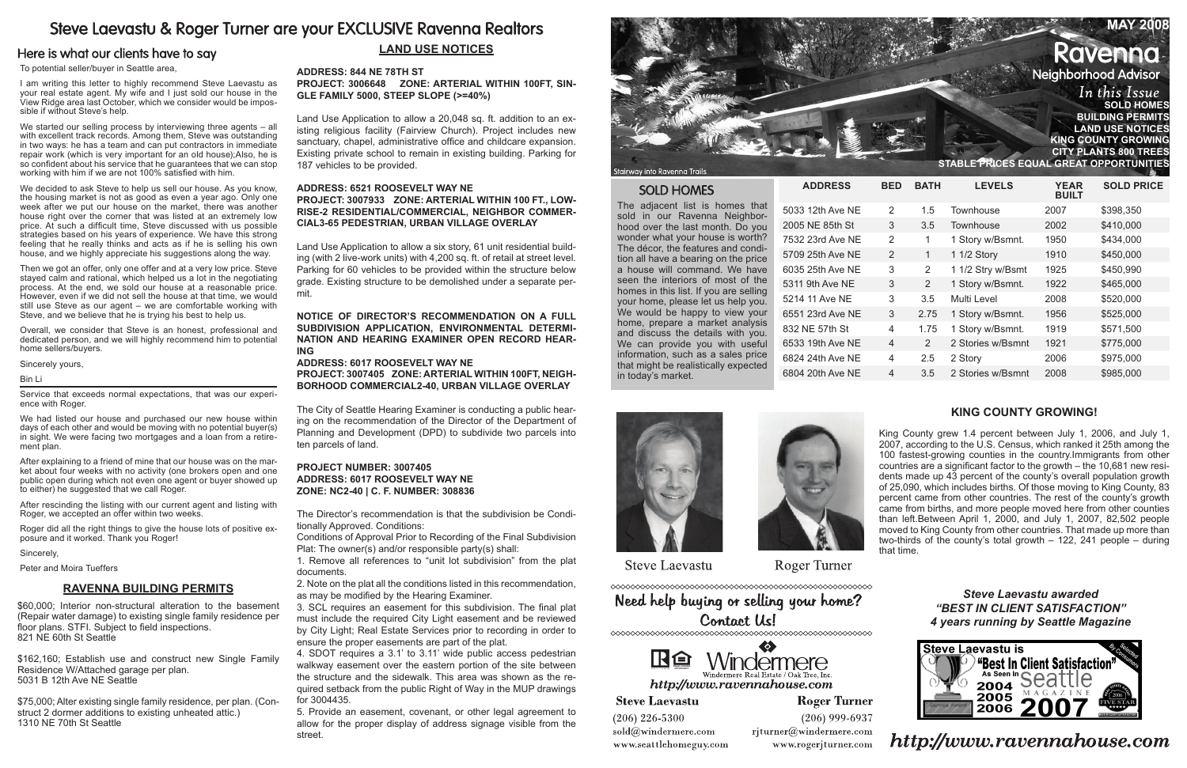# Steve Laevastu & Roger Turner are your EXCLUSIVE Ravenna Realtors

# Here is what our clients have to say

| <b>MAY 2008</b>                         |
|-----------------------------------------|
| <b>Ravenna</b>                          |
| <b>Neighborhood Advisor</b>             |
| In this Issue<br><b>SOLD HOMES</b>      |
| <b>BUILDING PERMITS</b>                 |
| <b>LAND USE NOTICES</b>                 |
| <b>KING COUNTY GROWING</b>              |
| <b>CITY PLANTS 800 TREES</b>            |
| STABLE PRICES EQUAL GREAT OPPORTUNITIES |

 $\mathcal{L} = \mathcal{L} \mathcal{L} = \mathcal{L} \mathcal{L} \mathcal{L} = \mathcal{L} \mathcal{L} \mathcal{L} \mathcal{L} = \mathcal{L} \mathcal{L} \mathcal{L} \mathcal{L} \mathcal{L} = \mathcal{L} \mathcal{L} \mathcal{L} \mathcal{L} \mathcal{L} \mathcal{L} = \mathcal{L} \mathcal{L} \mathcal{L} \mathcal{L} \mathcal{L} \mathcal{L} \mathcal{L} \mathcal{L} \mathcal{L} \mathcal{L} \mathcal{L} \mathcal{L} \mathcal{L} \mathcal{L} \mathcal{$ 

To potential seller/buyer in Seattle area,

I am writing this letter to highly recommend Steve Laevastu as your real estate agent. My wife and I just sold our house in the View Ridge area last October, which we consider would be impossible if without Steve's help.

We started our selling process by interviewing three agents – all with excellent track records. Among them, Steve was outstanding in two ways: he has a team and can put contractors in immediate repair work (which is very important for an old house);Also, he is so confident about his service that he guarantees that we can stop working with him if we are not 100% satisfied with him.

We decided to ask Steve to help us sell our house. As you know, the housing market is not as good as even a year ago. Only one week after we put our house on the market, there was another house right over the corner that was listed at an extremely low price. At such a difficult time, Steve discussed with us possible strategies based on his years of experience. We have this strong feeling that he really thinks and acts as if he is selling his own house, and we highly appreciate his suggestions along the way.

After explaining to a friend of mine that our house was on the market about four weeks with no activity (one brokers open and one public open during which not even one agent or buyer showed up to either) he suggested that we call Roger.

Then we got an offer, only one offer and at a very low price. Steve stayed calm and rational, which helped us a lot in the negotiating process. At the end, we sold our house at a reasonable price. However, even if we did not sell the house at that time, we would still use Steve as our agent – we are comfortable working with Steve, and we believe that he is trying his best to help us.

Overall, we consider that Steve is an honest, professional and dedicated person, and we will highly recommend him to potential home sellers/buyers.

Sincerely yours,

#### Bin Li

Service that exceeds normal expectations, that was our experience with Roger.

We had listed our house and purchased our new house within days of each other and would be moving with no potential buyer(s) in sight. We were facing two mortgages and a loan from a retirement plan.

After rescinding the listing with our current agent and listing with Roger, we accepted an offer within two weeks.

Roger did all the right things to give the house lots of positive exposure and it worked. Thank you Roger!

Sincerely,

Peter and Moira Tueffers

# **LAND USE Notices**

## **Address: 844 NE 78TH ST**

**Project: 3006648 Zone: ARTERIAL WITHIN 100FT, SIN-GLE FAMILY 5000, STEEP SLOPE (>=40%)** 

Land Use Application to allow a 20,048 sq. ft. addition to an existing religious facility (Fairview Church). Project includes new sanctuary, chapel, administrative office and childcare expansion. Existing private school to remain in existing building. Parking for 187 vehicles to be provided.

### **Address: 6521 ROOSEVELT WAY NE Project: 3007933 Zone: ARTERIAL WITHIN 100 FT., LOW-RISE-2 RESIDENTIAL/COMMERCIAL, NEIGHBOR COMMER-CIAL3-65 PEDESTRIAN, URBAN VILLAGE OVERLAY**

Land Use Application to allow a six story, 61 unit residential building (with 2 live-work units) with 4,200 sq. ft. of retail at street level. Parking for 60 vehicles to be provided within the structure below grade. Existing structure to be demolished under a separate permit.

**NOTICE OF DIRECTOR'S RECOMMENDATION ON A FULL SUBDIVISION APPLICATION, ENVIRONMENTAL DETERMI-NATION AND HEARING EXAMINER OPEN RECORD HEAR-ING**

### **Address: 6017 ROOSEVELT WAY NE**

**Project: 3007405 Zone: ARTERIAL WITHIN 100FT, NEIGH-BORHOOD COMMERCIAL2-40, URBAN VILLAGE OVERLAY**

The City of Seattle Hearing Examiner is conducting a public hearing on the recommendation of the Director of the Department of Planning and Development (DPD) to subdivide two parcels into ten parcels of land.

### **Project Number: 3007405 Address: 6017 Roosevelt Way NE Zone: NC2-40 | C. F. Number: 308836**

The Director's recommendation is that the subdivision be Conditionally Approved. Conditions:

Conditions of Approval Prior to Recording of the Final Subdivision Plat: The owner(s) and/or responsible party(s) shall:

1. Remove all references to "unit lot subdivision" from the plat documents.

2. Note on the plat all the conditions listed in this recommendation, as may be modified by the Hearing Examiner.

3. SCL requires an easement for this subdivision. The final plat must include the required City Light easement and be reviewed by City Light; Real Estate Services prior to recording in order to ensure the proper easements are part of the plat.

4. SDOT requires a 3.1' to 3.11' wide public access pedestrian walkway easement over the eastern portion of the site between the structure and the sidewalk. This area was shown as the required setback from the public Right of Way in the MUP drawings for 3004435.

5. Provide an easement, covenant, or other legal agreement to allow for the proper display of address signage visible from the street.



Stairway into Ravenna Trail:

## **SOLD HOMES**

The adjacent list is homes that sold in our Ravenna Neighborhood over the last month. Do you wonder what your house is worth? The décor, the features and condition all have a bearing on the price a house will command. We have seen the interiors of most of the homes in this list. If you are selling your home, please let us help you. We would be happy to view your home, prepare a market analysis and discuss the details with you. We can provide you with useful information, such as a sales price that might be realistically expected in today's market.

 $ADDRESS$ 

5033 12th Ave NE 2005 NE 85th St 7532 23rd Ave NE 5709 25th Ave NE 6035 25th Ave NE 5311 9th Ave NE 5214 11 Ave NE 6551 23rd Ave NE 832 NE 57th St 6533 19th Ave NE 6824 24th Ave NE 6804 20th Ave NE





**Steve Laevastu** 

**Roger Turner** 

Need help buying or selling your home? Contact Us!



http://www.ravennahouse.com

**Roger Turner** 

 $(206)$  226-5300 sold@windermere.com www.seattlehomeguy.com

**Steve Laevastu** 

 $(206)$  999-6937 rjturner@windermere.com www.rogerjturner.com

| BED            | <b>BATH</b> | <b>LEVELS</b>     | <b>YEAR</b><br><b>BUILT</b> | <b>SOLD PRICE</b> |
|----------------|-------------|-------------------|-----------------------------|-------------------|
| $\overline{2}$ | 1.5         | Townhouse         | 2007                        | \$398,350         |
| 3              | 3.5         | Townhouse         | 2002                        | \$410,000         |
| $\mathfrak{p}$ | 1           | 1 Story w/Bsmnt.  | 1950                        | \$434,000         |
| $\overline{2}$ | 1           | 1 1/2 Story       | 1910                        | \$450,000         |
| 3              | 2           | 1 1/2 Stry w/Bsmt | 1925                        | \$450,990         |
| 3              | 2           | 1 Story w/Bsmnt.  | 1922                        | \$465,000         |
| 3              | 3.5         | Multi Level       | 2008                        | \$520,000         |
| 3              | 2.75        | 1 Story w/Bsmnt.  | 1956                        | \$525,000         |
| 4              | 1.75        | 1 Story w/Bsmnt.  | 1919                        | \$571,500         |
| 4              | 2           | 2 Stories w/Bsmnt | 1921                        | \$775,000         |
| 4              | 2.5         | 2 Story           | 2006                        | \$975,000         |
| 4              | 3.5         | 2 Stories w/Bsmnt | 2008                        | \$985,000         |
|                |             |                   |                             |                   |

## **Ravenna Building Permits**

\$60,000; Interior non-structural alteration to the basement (Repair water damage) to existing single family residence per floor plans. STFI. Subject to field inspections. 821 NE 60th St Seattle

\$162,160; Establish use and construct new Single Family Residence W/Attached garage per plan. 5031 B 12th Ave NE Seattle

\$75,000; Alter existing single family residence, per plan. (Construct 2 dormer additions to existing unheated attic.) 1310 NE 70th St Seattle

*Steve Laevastu awarded "Best In Client Satisfaction" 4 years running by Seattle Magazine*



http://www.ravennahouse.com

# **KING COUNTY GROWING!**

King County grew 1.4 percent between July 1, 2006, and July 1, 2007, according to the U.S. Census, which ranked it 25th among the 100 fastest-growing counties in the country.Immigrants from other countries are a significant factor to the growth – the 10,681 new residents made up 43 percent of the county's overall population growth of 25,090, which includes births. Of those moving to King County, 83 percent came from other countries. The rest of the county's growth came from births, and more people moved here from other counties than left.Between April 1, 2000, and July 1, 2007, 82,502 people moved to King County from other countries. That made up more than two-thirds of the county's total growth – 122, 241 people – during that time.